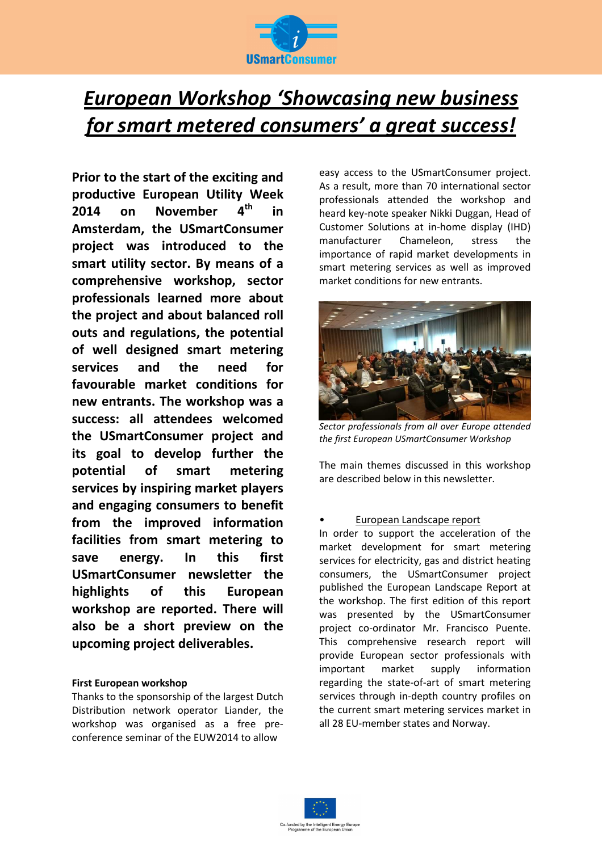

# *European Workshop 'Showcasing new business for smart metered consumers' a great success!*

**Prior to the start of the exciting and productive European Utility Week 2014 on November 4th in Amsterdam, the USmartConsumer project was introduced to the smart utility sector. By means of a comprehensive workshop, sector professionals learned more about the project and about balanced roll outs and regulations, the potential of well designed smart metering services and the need for favourable market conditions for new entrants. The workshop was a success: all attendees welcomed the USmartConsumer project and its goal to develop further the potential of smart metering services by inspiring market players and engaging consumers to benefit from the improved information facilities from smart metering to save energy. In this first USmartConsumer newsletter the highlights of this European workshop are reported. There will also be a short preview on the upcoming project deliverables.** 

## **First European workshop**

Thanks to the sponsorship of the largest Dutch Distribution network operator Liander, the workshop was organised as a free preconference seminar of the EUW2014 to allow

easy access to the USmartConsumer project. As a result, more than 70 international sector professionals attended the workshop and heard key-note speaker Nikki Duggan, Head of Customer Solutions at in-home display (IHD) manufacturer Chameleon, stress the importance of rapid market developments in smart metering services as well as improved market conditions for new entrants.



*Sector professionals from all over Europe attended the first European USmartConsumer Workshop* 

The main themes discussed in this workshop are described below in this newsletter.

#### • European Landscape report

In order to support the acceleration of the market development for smart metering services for electricity, gas and district heating consumers, the USmartConsumer project published the European Landscape Report at the workshop. The first edition of this report was presented by the USmartConsumer project co-ordinator Mr. Francisco Puente. This comprehensive research report will provide European sector professionals with important market supply information regarding the state-of-art of smart metering services through in-depth country profiles on the current smart metering services market in all 28 EU-member states and Norway.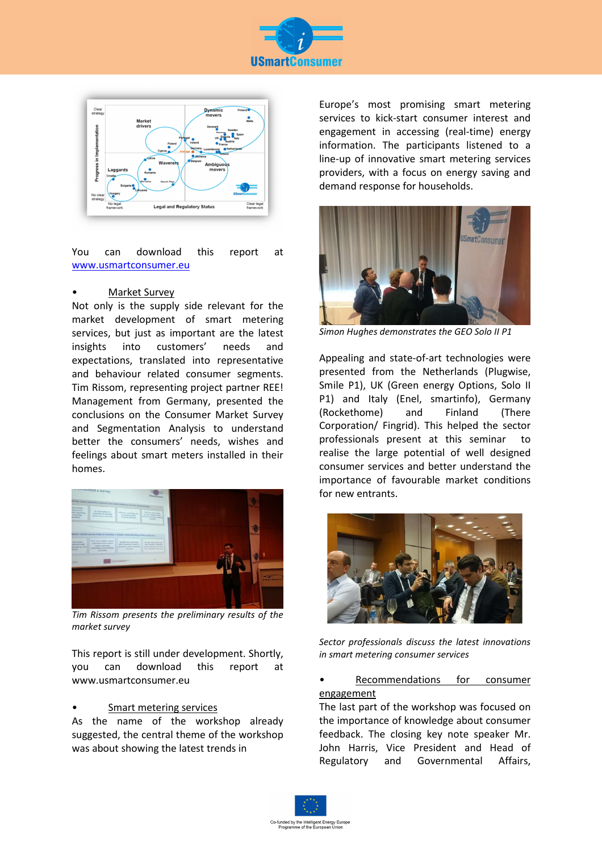



You can download this report at www.usmartconsumer.eu

#### • Market Survey

Not only is the supply side relevant for the market development of smart metering services, but just as important are the latest insights into customers' needs and expectations, translated into representative and behaviour related consumer segments. Tim Rissom, representing project partner REE! Management from Germany, presented the conclusions on the Consumer Market Survey and Segmentation Analysis to understand better the consumers' needs, wishes and feelings about smart meters installed in their homes.



*Tim Rissom presents the preliminary results of the market survey* 

This report is still under development. Shortly, you can download this report at www.usmartconsumer.eu

### Smart metering services

As the name of the workshop already suggested, the central theme of the workshop was about showing the latest trends in

Europe's most promising smart metering services to kick-start consumer interest and engagement in accessing (real-time) energy information. The participants listened to a line-up of innovative smart metering services providers, with a focus on energy saving and demand response for households.



*Simon Hughes demonstrates the GEO Solo II P1* 

Appealing and state-of-art technologies were presented from the Netherlands (Plugwise, Smile P1), UK (Green energy Options, Solo II P1) and Italy (Enel, smartinfo), Germany (Rockethome) and Finland (There Corporation/ Fingrid). This helped the sector professionals present at this seminar to realise the large potential of well designed consumer services and better understand the importance of favourable market conditions for new entrants.



*Sector professionals discuss the latest innovations in smart metering consumer services* 

Recommendations for consumer engagement

The last part of the workshop was focused on the importance of knowledge about consumer feedback. The closing key note speaker Mr. John Harris, Vice President and Head of Regulatory and Governmental Affairs,